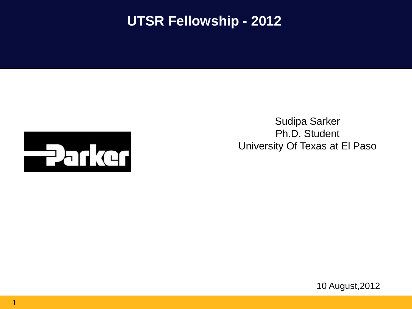## **UTSR Fellowship - 2012**



1

Sudipa Sarker Ph.D. Student University Of Texas at El Paso

10 August,2012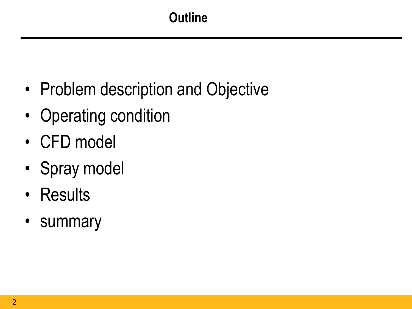- Problem description and Objective
- Operating condition
- CFD model
- Spray model
- Results
- summary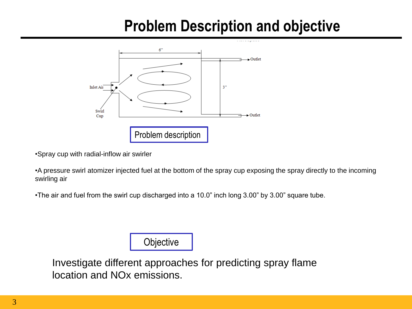# **Problem Description and objective**



•Spray cup with radial-inflow air swirler

•A pressure swirl atomizer injected fuel at the bottom of the spray cup exposing the spray directly to the incoming swirling air

•The air and fuel from the swirl cup discharged into a 10.0" inch long 3.00" by 3.00" square tube.

**Objective** 

Investigate different approaches for predicting spray flame location and NOx emissions.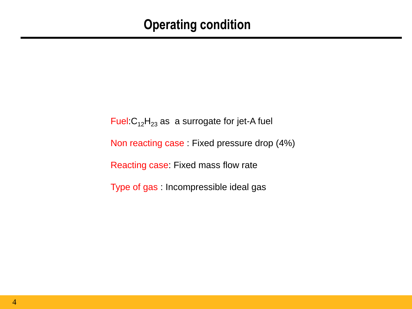### **Operating condition**

Fuel: $C_{12}H_{23}$  as a surrogate for jet-A fuel Non reacting case : Fixed pressure drop (4%) Reacting case: Fixed mass flow rate Type of gas : Incompressible ideal gas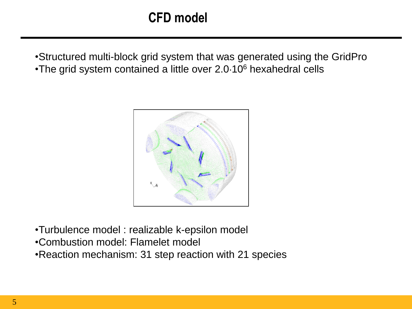•Structured multi-block grid system that was generated using the GridPro •The grid system contained a little over 2.0 10<sup>6</sup> hexahedral cells



- •Turbulence model : realizable k-epsilon model
- •Combustion model: Flamelet model
- •Reaction mechanism: 31 step reaction with 21 species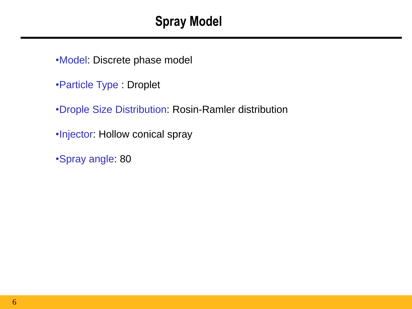## **Spray Model**

•Model: Discrete phase model

•Particle Type : Droplet

•Drople Size Distribution: Rosin-Ramler distribution

•Injector: Hollow conical spray

•Spray angle: 80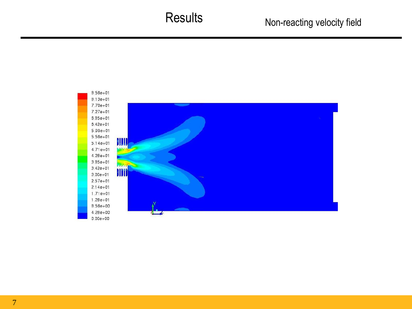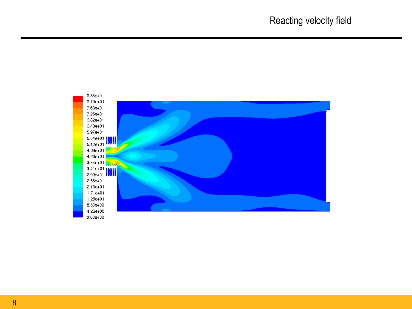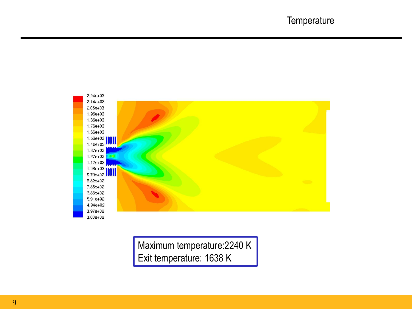

Maximum temperature:2240 K Exit temperature: 1638 K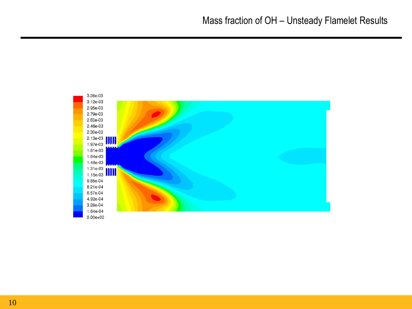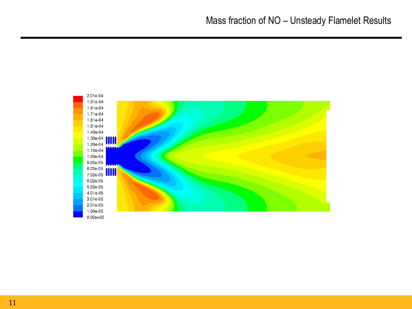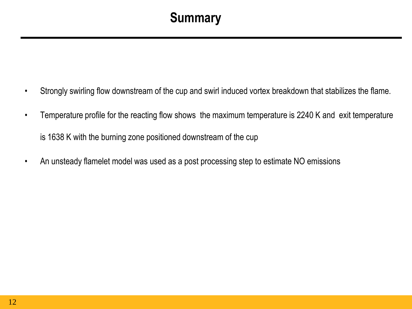## **Summary**

- Strongly swirling flow downstream of the cup and swirl induced vortex breakdown that stabilizes the flame.
- Temperature profile for the reacting flow shows the maximum temperature is 2240 K and exit temperature is 1638 K with the burning zone positioned downstream of the cup
- An unsteady flamelet model was used as a post processing step to estimate NO emissions